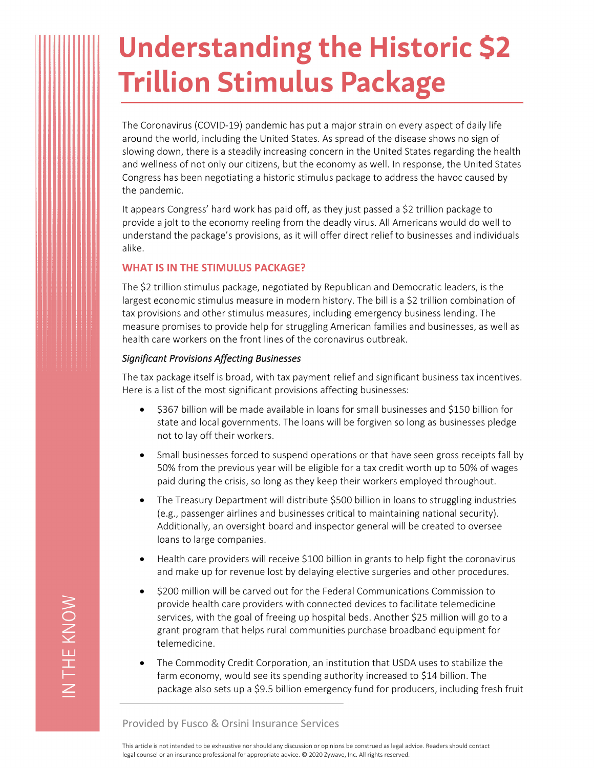# **Understanding the Historic \$2 Trillion Stimulus Package**

The Coronavirus (COVID‐19) pandemic has put a major strain on every aspect of daily life around the world, including the United States. As spread of the disease shows no sign of slowing down, there is a steadily increasing concern in the United States regarding the health and wellness of not only our citizens, but the economy as well. In response, the United States Congress has been negotiating a historic stimulus package to address the havoc caused by the pandemic.

It appears Congress' hard work has paid off, as they just passed a \$2 trillion package to provide a jolt to the economy reeling from the deadly virus. All Americans would do well to understand the package's provisions, as it will offer direct relief to businesses and individuals alike.

# **WHAT IS IN THE STIMULUS PACKAGE?**

The \$2 trillion stimulus package, negotiated by Republican and Democratic leaders, is the largest economic stimulus measure in modern history. The bill is a \$2 trillion combination of tax provisions and other stimulus measures, including emergency business lending. The measure promises to provide help for struggling American families and businesses, as well as health care workers on the front lines of the coronavirus outbreak.

## *Significant Provisions Affecting Businesses*

The tax package itself is broad, with tax payment relief and significant business tax incentives. Here is a list of the most significant provisions affecting businesses:

- \$367 billion will be made available in loans for small businesses and \$150 billion for state and local governments. The loans will be forgiven so long as businesses pledge not to lay off their workers.
- Small businesses forced to suspend operations or that have seen gross receipts fall by 50% from the previous year will be eligible for a tax credit worth up to 50% of wages paid during the crisis, so long as they keep their workers employed throughout.
- The Treasury Department will distribute \$500 billion in loans to struggling industries (e.g., passenger airlines and businesses critical to maintaining national security). Additionally, an oversight board and inspector general will be created to oversee loans to large companies.
- Health care providers will receive \$100 billion in grants to help fight the coronavirus and make up for revenue lost by delaying elective surgeries and other procedures.
- \$200 million will be carved out for the Federal Communications Commission to provide health care providers with connected devices to facilitate telemedicine services, with the goal of freeing up hospital beds. Another \$25 million will go to a grant program that helps rural communities purchase broadband equipment for telemedicine.
- The Commodity Credit Corporation, an institution that USDA uses to stabilize the farm economy, would see its spending authority increased to \$14 billion. The package also sets up a \$9.5 billion emergency fund for producers, including fresh fruit

Provided by Fusco & Orsini Insurance Services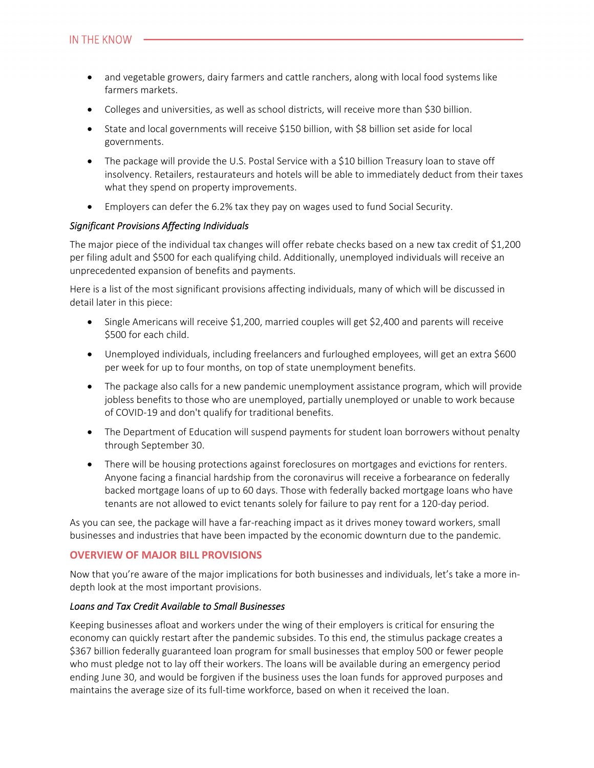- and vegetable growers, dairy farmers and cattle ranchers, along with local food systems like farmers markets.
- Colleges and universities, as well as school districts, will receive more than \$30 billion.
- State and local governments will receive \$150 billion, with \$8 billion set aside for local governments.
- The package will provide the U.S. Postal Service with a \$10 billion Treasury loan to stave off insolvency. Retailers, restaurateurs and hotels will be able to immediately deduct from their taxes what they spend on property improvements.
- Employers can defer the 6.2% tax they pay on wages used to fund Social Security.

## *Significant Provisions Affecting Individuals*

The major piece of the individual tax changes will offer rebate checks based on a new tax credit of \$1,200 per filing adult and \$500 for each qualifying child. Additionally, unemployed individuals will receive an unprecedented expansion of benefits and payments.

Here is a list of the most significant provisions affecting individuals, many of which will be discussed in detail later in this piece:

- $\bullet$  Single Americans will receive \$1,200, married couples will get \$2,400 and parents will receive \$500 for each child.
- Unemployed individuals, including freelancers and furloughed employees, will get an extra \$600 per week for up to four months, on top of state unemployment benefits.
- The package also calls for a new pandemic unemployment assistance program, which will provide jobless benefits to those who are unemployed, partially unemployed or unable to work because of COVID‐19 and don't qualify for traditional benefits.
- The Department of Education will suspend payments for student loan borrowers without penalty through September 30.
- There will be housing protections against foreclosures on mortgages and evictions for renters. Anyone facing a financial hardship from the coronavirus will receive a forbearance on federally backed mortgage loans of up to 60 days. Those with federally backed mortgage loans who have tenants are not allowed to evict tenants solely for failure to pay rent for a 120‐day period.

As you can see, the package will have a far-reaching impact as it drives money toward workers, small businesses and industries that have been impacted by the economic downturn due to the pandemic.

# **OVERVIEW OF MAJOR BILL PROVISIONS**

Now that you're aware of the major implications for both businesses and individuals, let's take a more in‐ depth look at the most important provisions.

## *Loans and Tax Credit Available to Small Businesses*

Keeping businesses afloat and workers under the wing of their employers is critical for ensuring the economy can quickly restart after the pandemic subsides. To this end, the stimulus package creates a \$367 billion federally guaranteed loan program for small businesses that employ 500 or fewer people who must pledge not to lay off their workers. The loans will be available during an emergency period ending June 30, and would be forgiven if the business uses the loan funds for approved purposes and maintains the average size of its full-time workforce, based on when it received the loan.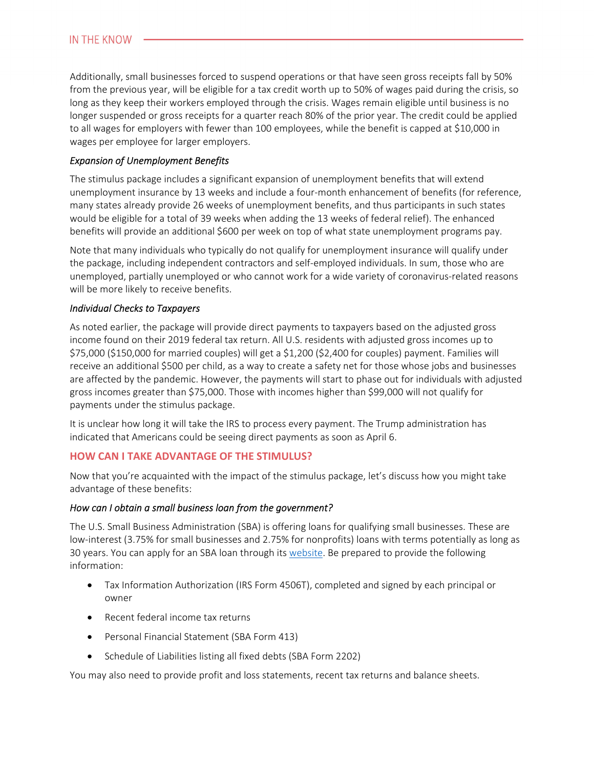Additionally, small businesses forced to suspend operations or that have seen gross receipts fall by 50% from the previous year, will be eligible for a tax credit worth up to 50% of wages paid during the crisis, so long as they keep their workers employed through the crisis. Wages remain eligible until business is no longer suspended or gross receipts for a quarter reach 80% of the prior year. The credit could be applied to all wages for employers with fewer than 100 employees, while the benefit is capped at \$10,000 in wages per employee for larger employers.

## *Expansion of Unemployment Benefits*

The stimulus package includes a significant expansion of unemployment benefits that will extend unemployment insurance by 13 weeks and include a four-month enhancement of benefits (for reference, many states already provide 26 weeks of unemployment benefits, and thus participants in such states would be eligible for a total of 39 weeks when adding the 13 weeks of federal relief). The enhanced benefits will provide an additional \$600 per week on top of what state unemployment programs pay.

Note that many individuals who typically do not qualify for unemployment insurance will qualify under the package, including independent contractors and self‐employed individuals. In sum, those who are unemployed, partially unemployed or who cannot work for a wide variety of coronavirus‐related reasons will be more likely to receive benefits.

## *Individual Checks to Taxpayers*

As noted earlier, the package will provide direct payments to taxpayers based on the adjusted gross income found on their 2019 federal tax return. All U.S. residents with adjusted gross incomes up to \$75,000 (\$150,000 for married couples) will get a \$1,200 (\$2,400 for couples) payment. Families will receive an additional \$500 per child, as a way to create a safety net for those whose jobs and businesses are affected by the pandemic. However, the payments will start to phase out for individuals with adjusted gross incomes greater than \$75,000. Those with incomes higher than \$99,000 will not qualify for payments under the stimulus package.

It is unclear how long it will take the IRS to process every payment. The Trump administration has indicated that Americans could be seeing direct payments as soon as April 6.

# **HOW CAN I TAKE ADVANTAGE OF THE STIMULUS?**

Now that you're acquainted with the impact of the stimulus package, let's discuss how you might take advantage of these benefits:

## *How can I obtain a small business loan from the government?*

The U.S. Small Business Administration (SBA) is offering loans for qualifying small businesses. These are low-interest (3.75% for small businesses and 2.75% for nonprofits) loans with terms potentially as long as 30 years. You can apply for an SBA loan through its website. Be prepared to provide the following information:

- Tax Information Authorization (IRS Form 4506T), completed and signed by each principal or owner
- Recent federal income tax returns
- Personal Financial Statement (SBA Form 413)
- Schedule of Liabilities listing all fixed debts (SBA Form 2202)

You may also need to provide profit and loss statements, recent tax returns and balance sheets.